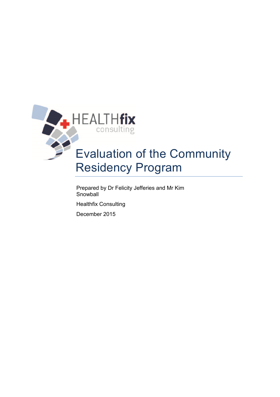

# Residency Program

Prepared by Dr Felicity Jefferies and Mr Kim **Snowball** 

Healthfix Consulting

December 2015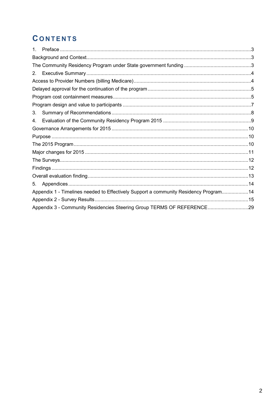# **CONTENTS**

| $1_{-}$ |                                                                                       |  |
|---------|---------------------------------------------------------------------------------------|--|
|         |                                                                                       |  |
|         |                                                                                       |  |
|         |                                                                                       |  |
|         |                                                                                       |  |
|         |                                                                                       |  |
|         |                                                                                       |  |
|         |                                                                                       |  |
| 3.      |                                                                                       |  |
| 4.      |                                                                                       |  |
|         |                                                                                       |  |
|         |                                                                                       |  |
|         |                                                                                       |  |
|         |                                                                                       |  |
|         |                                                                                       |  |
|         |                                                                                       |  |
|         |                                                                                       |  |
| 5.      |                                                                                       |  |
|         | Appendix 1 - Timelines needed to Effectively Support a community Residency Program 14 |  |
|         |                                                                                       |  |
|         | Appendix 3 - Community Residencies Steering Group TERMS OF REFERENCE29                |  |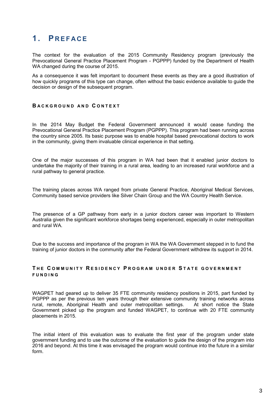# **1. P R E F A C E**

The context for the evaluation of the 2015 Community Residency program (previously the Prevocational General Practice Placement Program - PGPPP) funded by the Department of Health WA changed during the course of 2015.

As a consequence it was felt important to document these events as they are a good illustration of how quickly programs of this type can change, often without the basic evidence available to guide the decision or design of the subsequent program.

## **B A C K G R O U N D A N D C O N T E X T**

In the 2014 May Budget the Federal Government announced it would cease funding the Prevocational General Practice Placement Program (PGPPP). This program had been running across the country since 2005. Its basic purpose was to enable hospital based prevocational doctors to work in the community, giving them invaluable clinical experience in that setting.

One of the major successes of this program in WA had been that it enabled junior doctors to undertake the majority of their training in a rural area, leading to an increased rural workforce and a rural pathway to general practice.

The training places across WA ranged from private General Practice, Aboriginal Medical Services, Community based service providers like Silver Chain Group and the WA Country Health Service.

The presence of a GP pathway from early in a junior doctors career was important to Western Australia given the significant workforce shortages being experienced, especially in outer metropolitan and rural WA.

Due to the success and importance of the program in WA the WA Government stepped in to fund the training of junior doctors in the community after the Federal Government withdrew its support in 2014.

# **T H E C O M M U N I T Y R E S I D E N C Y P R O G R A M U N D E R S T A T E G O V E R N M E N T F U N D I N G**

WAGPET had geared up to deliver 35 FTE community residency positions in 2015, part funded by PGPPP as per the previous ten years through their extensive community training networks across rural, remote, Aboriginal Health and outer metropolitan settings. At short notice the State Government picked up the program and funded WAGPET, to continue with 20 FTE community placements in 2015.

The initial intent of this evaluation was to evaluate the first year of the program under state government funding and to use the outcome of the evaluation to guide the design of the program into 2016 and beyond. At this time it was envisaged the program would continue into the future in a similar form.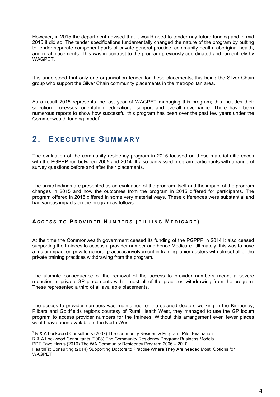However, in 2015 the department advised that it would need to tender any future funding and in mid 2015 it did so. The tender specifications fundamentally changed the nature of the program by putting to tender separate component parts of private general practice, community health, aboriginal health, and rural placements. This was in contrast to the program previously coordinated and run entirely by WAGPET.

It is understood that only one organisation tender for these placements, this being the Silver Chain group who support the Silver Chain community placements in the metropolitan area.

As a result 2015 represents the last year of WAGPET managing this program; this includes their selection processes, orientation, educational support and overall governance. There have been numerous reports to show how successful this program has been over the past few years under the Commonwealth funding model $1$ .

# **2. EX E C U T I V E S U M M A R Y**

The evaluation of the community residency program in 2015 focused on those material differences with the PGPPP run between 2005 and 2014. It also canvassed program participants with a range of survey questions before and after their placements.

The basic findings are presented as an evaluation of the program itself and the impact of the program changes in 2015 and how the outcomes from the program in 2015 differed for participants. The program offered in 2015 differed in some very material ways. These differences were substantial and had various impacts on the program as follows:

## **A C C E S S T O P R O V I D E R N U M B E R S ( B I L L I N G M E D I C A R E )**

At the time the Commonwealth government ceased its funding of the PGPPP in 2014 it also ceased supporting the trainees to access a provider number and hence Medicare. Ultimately, this was to have a major impact on private general practices involvement in training junior doctors with almost all of the private training practices withdrawing from the program.

The ultimate consequence of the removal of the access to provider numbers meant a severe reduction in private GP placements with almost all of the practices withdrawing from the program. These represented a third of all available placements.

The access to provider numbers was maintained for the salaried doctors working in the Kimberley, Pilbara and Goldfields regions courtesy of Rural Health West, they managed to use the GP locum program to access provider numbers for the trainees. Without this arrangement even fewer places would have been available in the North West.

 1 R & A Lockwood Consultants (2007) The community Residency Program: Pilot Evaluation R & A Lockwood Consultants (2008) The Community Residency Program: Business Models PDT Faye Harris (2010) The WA Community Residency Program 2006 – 2010

HealthFix Consulting (2014) Supporting Doctors to Practise Where They Are needed Most: Options for WAGPET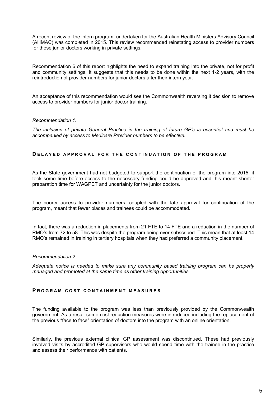A recent review of the intern program, undertaken for the Australian Health Ministers Advisory Council (AHMAC) was completed in 2015. This review recommended reinstating access to provider numbers for those junior doctors working in private settings.

Recommendation 6 of this report highlights the need to expand training into the private, not for profit and community settings. It suggests that this needs to be done within the next 1-2 years, with the reintroduction of provider numbers for junior doctors after their intern year.

An acceptance of this recommendation would see the Commonwealth reversing it decision to remove access to provider numbers for junior doctor training.

#### *Recommendation 1.*

*The inclusion of private General Practice in the training of future GP's is essential and must be accompanied by access to Medicare Provider numbers to be effective.* 

#### **DELAYED APPROVAL FOR THE CONTINUATION OF THE PROGRAM**

As the State government had not budgeted to support the continuation of the program into 2015, it took some time before access to the necessary funding could be approved and this meant shorter preparation time for WAGPET and uncertainty for the junior doctors.

The poorer access to provider numbers, coupled with the late approval for continuation of the program, meant that fewer places and trainees could be accommodated.

In fact, there was a reduction in placements from 21 FTE to 14 FTE and a reduction in the number of RMO's from 72 to 58. This was despite the program being over subscribed. This mean that at least 14 RMO's remained in training in tertiary hospitals when they had preferred a community placement.

#### *Recommendation 2.*

*Adequate notice is needed to make sure any community based training program can be properly managed and promoted at the same time as other training opportunities.* 

#### **PROGRAM COST CONTAINMENT MEASURES**

The funding available to the program was less than previously provided by the Commonwealth government. As a result some cost reduction measures were introduced including the replacement of the previous "face to face" orientation of doctors into the program with an online orientation.

Similarly, the previous external clinical GP assessment was discontinued. These had previously involved visits by accredited GP supervisors who would spend time with the trainee in the practice and assess their performance with patients.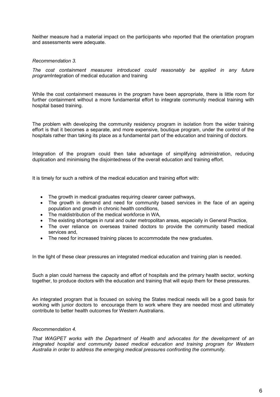Neither measure had a material impact on the participants who reported that the orientation program and assessments were adequate.

#### *Recommendation 3.*

*The cost containment measures introduced could reasonably be applied in any future program*Integration of medical education and training

While the cost containment measures in the program have been appropriate, there is little room for further containment without a more fundamental effort to integrate community medical training with hospital based training.

The problem with developing the community residency program in isolation from the wider training effort is that it becomes a separate, and more expensive, boutique program, under the control of the hospitals rather than taking its place as a fundamental part of the education and training of doctors.

Integration of the program could then take advantage of simplifying administration, reducing duplication and minimising the disjointedness of the overall education and training effort.

It is timely for such a rethink of the medical education and training effort with:

- The growth in medical graduates requiring clearer career pathways,
- The growth in demand and need for community based services in the face of an ageing population and growth in chronic health conditions,
- The maldistribution of the medical workforce in WA,
- The existing shortages in rural and outer metropolitan areas, especially in General Practice,
- The over reliance on overseas trained doctors to provide the community based medical services and,
- The need for increased training places to accommodate the new graduates.

In the light of these clear pressures an integrated medical education and training plan is needed.

Such a plan could harness the capacity and effort of hospitals and the primary health sector, working together, to produce doctors with the education and training that will equip them for these pressures.

An integrated program that is focused on solving the States medical needs will be a good basis for working with junior doctors to encourage them to work where they are needed most and ultimately contribute to better health outcomes for Western Australians.

#### *Recommendation 4.*

*That WAGPET works with the Department of Health and advocates for the development of an integrated hospital and community based medical education and training program for Western Australia in order to address the emerging medical pressures confronting the community.*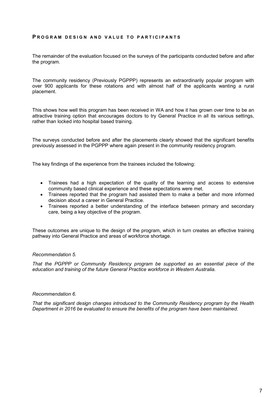#### **PROGRAM DESIGN AND VALUE TO PARTICIPANTS**

The remainder of the evaluation focused on the surveys of the participants conducted before and after the program.

The community residency (Previously PGPPP) represents an extraordinarily popular program with over 900 applicants for these rotations and with almost half of the applicants wanting a rural placement.

This shows how well this program has been received in WA and how it has grown over time to be an attractive training option that encourages doctors to try General Practice in all its various settings, rather than locked into hospital based training.

The surveys conducted before and after the placements clearly showed that the significant benefits previously assessed in the PGPPP where again present in the community residency program.

The key findings of the experience from the trainees included the following:

- Trainees had a high expectation of the quality of the learning and access to extensive community based clinical experience and these expectations were met.
- Trainees reported that the program had assisted them to make a better and more informed decision about a career in General Practice.
- Trainees reported a better understanding of the interface between primary and secondary care, being a key objective of the program.

These outcomes are unique to the design of the program, which in turn creates an effective training pathway into General Practice and areas of workforce shortage.

#### *Recommendation 5.*

*That the PGPPP or Community Residency program be supported as an essential piece of the education and training of the future General Practice workforce in Western Australia.* 

#### *Recommendation 6.*

*That the significant design changes introduced to the Community Residency program by the Health Department in 2016 be evaluated to ensure the benefits of the program have been maintained.*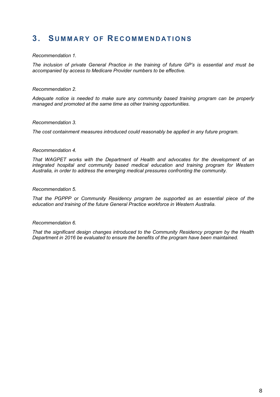# **3. S U M M A R Y O F RE C O M M E N D A T I O N S**

#### *Recommendation 1.*

*The inclusion of private General Practice in the training of future GP's is essential and must be accompanied by access to Medicare Provider numbers to be effective.* 

#### *Recommendation 2.*

*Adequate notice is needed to make sure any community based training program can be properly managed and promoted at the same time as other training opportunities.* 

#### *Recommendation 3.*

*The cost containment measures introduced could reasonably be applied in any future program.* 

#### *Recommendation 4.*

*That WAGPET works with the Department of Health and advocates for the development of an integrated hospital and community based medical education and training program for Western Australia, in order to address the emerging medical pressures confronting the community.* 

#### *Recommendation 5.*

*That the PGPPP or Community Residency program be supported as an essential piece of the education and training of the future General Practice workforce in Western Australia.* 

#### *Recommendation 6.*

*That the significant design changes introduced to the Community Residency program by the Health Department in 2016 be evaluated to ensure the benefits of the program have been maintained.*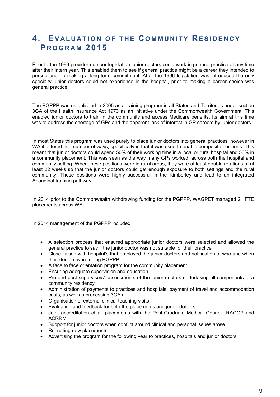# **4. EV A L U A T I O N O F T H E C O M M U N I T Y RE S I D E N C Y P R O G R A M 2015**

Prior to the 1996 provider number legislation junior doctors could work in general practice at any time after their intern year. This enabled them to see if general practice might be a career they intended to pursue prior to making a long-term commitment. After the 1996 legislation was introduced the only specialty junior doctors could not experience in the hospital, prior to making a career choice was general practice.

The PGPPP was established in 2005 as a training program in all States and Territories under section 3GA of the Health Insurance Act 1973 as an initiative under the Commonwealth Government. This enabled junior doctors to train in the community and access Medicare benefits. Its aim at this time was to address the shortage of GPs and the apparent lack of interest in GP careers by junior doctors.

In most States this program was used purely to place junior doctors into general practices, however in WA it differed in a number of ways, specifically in that it was used to enable composite positions. This meant that junior doctors could spend 50% of their working time in a local or rural hospital and 50% in a community placement. This was seen as the way many GPs worked, across both the hospital and community setting. When these positions were in rural areas, they were at least double rotations of at least 22 weeks so that the junior doctors could get enough exposure to both settings and the rural community. These positions were highly successful in the Kimberley and lead to an integrated Aboriginal training pathway.

In 2014 prior to the Commonwealth withdrawing funding for the PGPPP, WAGPET managed 21 FTE placements across WA.

In 2014 management of the PGPPP included

- A selection process that ensured appropriate junior doctors were selected and allowed the general practice to say if the junior doctor was not suitable for their practice
- Close liaison with hospital's that employed the junior doctors and notification of who and when their doctors were doing PGPPP
- A face to face orientation program for the community placement
- Ensuring adequate supervision and education
- Pre and post supervisors' assessments of the junior doctors undertaking all components of a community residency
- Administration of payments to practices and hospitals, payment of travel and accommodation costs, as well as processing 3GAs
- Organisation of external clinical teaching visits
- Evaluation and feedback for both the placements and junior doctors
- Joint accreditation of all placements with the Post-Graduate Medical Council, RACGP and ACRRM
- Support for junior doctors when conflict around clinical and personal issues arose
- Recruiting new placements
- Advertising the program for the following year to practices, hospitals and junior doctors.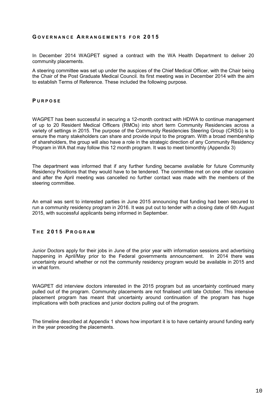#### **G O V E R N A N C E A R R A N G E M E N T S F O R 2 0 1 5**

In December 2014 WAGPET signed a contract with the WA Health Department to deliver 20 community placements.

A steering committee was set up under the auspices of the Chief Medical Officer, with the Chair being the Chair of the Post Graduate Medical Council. Its first meeting was in December 2014 with the aim to establish Terms of Reference. These included the following purpose.

#### **P U R P O S E**

WAGPET has been successful in securing a 12-month contract with HDWA to continue management of up to 20 Resident Medical Officers (RMOs) into short term Community Residencies across a variety of settings in 2015. The purpose of the Community Residencies Steering Group (CRSG) is to ensure the many stakeholders can share and provide input to the program. With a broad membership of shareholders, the group will also have a role in the strategic direction of any Community Residency Program in WA that may follow this 12 month program. It was to meet bimonthly (Appendix 3)

The department was informed that if any further funding became available for future Community Residency Positions that they would have to be tendered. The committee met on one other occasion and after the April meeting was cancelled no further contact was made with the members of the steering committee.

An email was sent to interested parties in June 2015 announcing that funding had been secured to run a community residency program in 2016. It was put out to tender with a closing date of 6th August 2015, with successful applicants being informed in September.

## **T H E 2 0 1 5 P R O G R A M**

Junior Doctors apply for their jobs in June of the prior year with information sessions and advertising happening in April/May prior to the Federal governments announcement. In 2014 there was uncertainty around whether or not the community residency program would be available in 2015 and in what form.

WAGPET did interview doctors interested in the 2015 program but as uncertainty continued many pulled out of the program. Community placements are not finalised until late October. This intensive placement program has meant that uncertainty around continuation of the program has huge implications with both practices and junior doctors pulling out of the program.

The timeline described at Appendix 1 shows how important it is to have certainty around funding early in the year preceding the placements.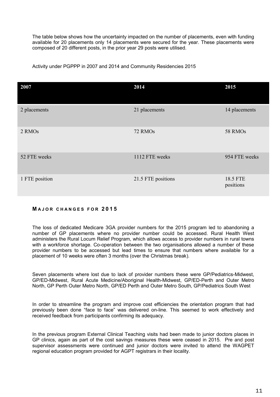The table below shows how the uncertainty impacted on the number of placements, even with funding available for 20 placements only 14 placements were secured for the year. These placements were composed of 20 different posts, in the prior year 29 posts were utilised.

Activity under PGPPP in 2007 and 2014 and Community Residencies 2015

| 2007           | 2014               | 2015                  |
|----------------|--------------------|-----------------------|
| 2 placements   | 21 placements      | 14 placements         |
| 2 RMOs         | 72 RMOs            | 58 RMOs               |
| 52 FTE weeks   | 1112 FTE weeks     | 954 FTE weeks         |
| 1 FTE position | 21.5 FTE positions | 18.5 FTE<br>positions |

## **M A J O R C H A N G E S F O R 2 0 1 5**

The loss of dedicated Medicare 3GA provider numbers for the 2015 program led to abandoning a number of GP placements where no provider number could be accessed. Rural Health West administers the Rural Locum Relief Program, which allows access to provider numbers in rural towns with a workforce shortage. Co-operation between the two organisations allowed a number of these provider numbers to be accessed but lead times to ensure that numbers where available for a placement of 10 weeks were often 3 months (over the Christmas break).

Seven placements where lost due to lack of provider numbers these were GP/Pediatrics-Midwest, GP/ED-Midwest, Rural Acute Medicine/Aboriginal Health-Midwest, GP/ED-Perth and Outer Metro North, GP Perth Outer Metro North, GP/ED Perth and Outer Metro South, GP/Pediatrics South West

In order to streamline the program and improve cost efficiencies the orientation program that had previously been done "face to face" was delivered on-line. This seemed to work effectively and received feedback from participants confirming its adequacy.

In the previous program External Clinical Teaching visits had been made to junior doctors places in GP clinics, again as part of the cost savings measures these were ceased in 2015. Pre and post supervisor assessments were continued and junior doctors were invited to attend the WAGPET regional education program provided for AGPT registrars in their locality.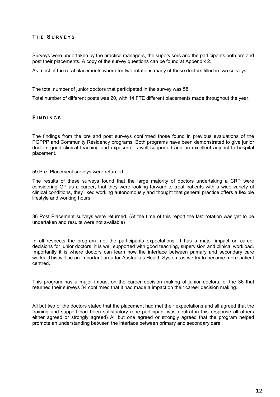## **T H E S U R V E Y S**

Surveys were undertaken by the practice managers, the supervisors and the participants both pre and post their placements. A copy of the survey questions can be found at Appendix 2.

As most of the rural placements where for two rotations many of these doctors filled in two surveys.

The total number of junior doctors that participated in the survey was 58.

Total number of different posts was 20, with 14 FTE different placements made throughout the year.

#### **F I N D I N G S**

The findings from the pre and post surveys confirmed those found in previous evaluations of the PGPPP and Community Residency programs. Both programs have been demonstrated to give junior doctors good clinical teaching and exposure, is well supported and an excellent adjunct to hospital placement.

59 Pre- Placement surveys were returned.

The results of these surveys found that the large majority of doctors undertaking a CRP were considering GP as a career, that they were looking forward to treat patients with a wide variety of clinical conditions, they liked working autonomously and thought that general practice offers a flexible lifestyle and working hours.

36 Post Placement surveys were returned. (At the time of this report the last rotation was yet to be undertaken and results were not available)

In all respects the program met the participants expectations. It has a major impact on career decisions for junior doctors, it is well supported with good teaching, supervision and clinical workload. Importantly it is where doctors can learn how the interface between primary and secondary care works. This will be an important area for Australia's Health System as we try to become more patient centred.

This program has a major impact on the career decision making of junior doctors, of the 36 that returned their surveys 34 confirmed that it had made a impact on their career decision making.

All but two of the doctors stated that the placement had met their expectations and all agreed that the training and support had been satisfactory (one participant was neutral in this response all others either agreed or strongly agreed) All but one agreed or strongly agreed that the program helped promote an understanding between the interface between primary and secondary care.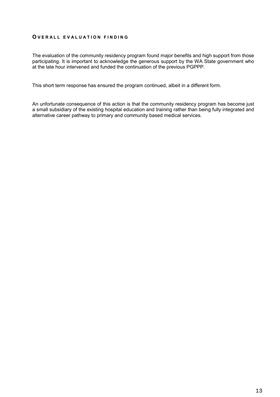#### **O V E R A L L E V A L U A T I O N F I N D I N G**

The evaluation of the community residency program found major benefits and high support from those participating. It is important to acknowledge the generous support by the WA State government who at the late hour intervened and funded the continuation of the previous PGPPP.

This short term response has ensured the program continued, albeit in a different form.

An unfortunate consequence of this action is that the community residency program has become just a small subsidiary of the existing hospital education and training rather than being fully integrated and alternative career pathway to primary and community based medical services.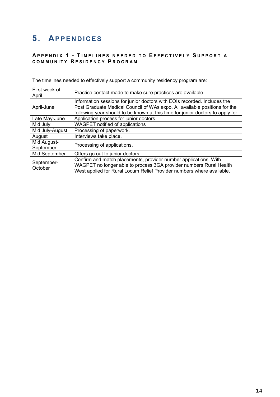# **5. APPENDICES**

# **A P P E N D I X 1 - T I M E L I N E S N E E D E D T O E F F E C T I V E L Y S U P P O R T A C O M M U N I T Y R E S I D E N C Y P R O G R A M**

The timelines needed to effectively support a community residency program are:

| First week of<br>April   | Practice contact made to make sure practices are available                                                                                                                                                                                |
|--------------------------|-------------------------------------------------------------------------------------------------------------------------------------------------------------------------------------------------------------------------------------------|
| April-June               | Information sessions for junior doctors with EOIs recorded. Includes the<br>Post Graduate Medical Council of WAs expo. All available positions for the<br>following year should to be known at this time for junior doctors to apply for. |
| Late May-June            | Application process for junior doctors                                                                                                                                                                                                    |
| Mid July                 | WAGPET notified of applications                                                                                                                                                                                                           |
| Mid July-August          | Processing of paperwork.                                                                                                                                                                                                                  |
| August                   | Interviews take place.                                                                                                                                                                                                                    |
| Mid August-<br>September | Processing of applications.                                                                                                                                                                                                               |
| Mid September            | Offers go out to junior doctors.                                                                                                                                                                                                          |
| September-<br>October    | Confirm and match placements, provider number applications. With<br>WAGPET no longer able to process 3GA provider numbers Rural Health<br>West applied for Rural Locum Relief Provider numbers where available.                           |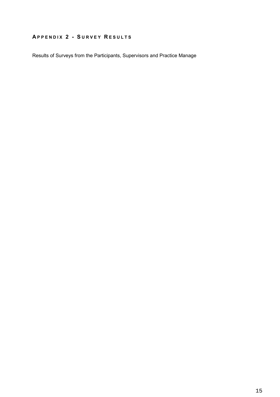# **A P P E N D I X 2 - S U R V E Y R E S U L T S**

Results of Surveys from the Participants, Supervisors and Practice Manage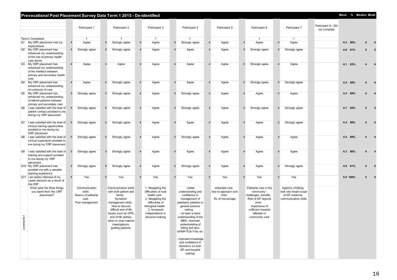|                           | Prevocational Post Placement Survey Data Term 1 2015 - De-identified                                                  |                 |                                                                            |                 |                                                                                                                                                                                                                                                   |   |                                                                                                                                                                              |                 |                                                                                                                                                                                                                                                                                                                                                         |                         |                                                                      |                |                                                                                                                                                                        |                 |                                                                                         |                                     | Mean % Median Mode |                         |                         |
|---------------------------|-----------------------------------------------------------------------------------------------------------------------|-----------------|----------------------------------------------------------------------------|-----------------|---------------------------------------------------------------------------------------------------------------------------------------------------------------------------------------------------------------------------------------------------|---|------------------------------------------------------------------------------------------------------------------------------------------------------------------------------|-----------------|---------------------------------------------------------------------------------------------------------------------------------------------------------------------------------------------------------------------------------------------------------------------------------------------------------------------------------------------------------|-------------------------|----------------------------------------------------------------------|----------------|------------------------------------------------------------------------------------------------------------------------------------------------------------------------|-----------------|-----------------------------------------------------------------------------------------|-------------------------------------|--------------------|-------------------------|-------------------------|
|                           |                                                                                                                       |                 | Participant 1                                                              |                 | Participant 2                                                                                                                                                                                                                                     |   | Participant 3                                                                                                                                                                |                 | Participant 4                                                                                                                                                                                                                                                                                                                                           |                         | Participant 5                                                        |                | Participant 6                                                                                                                                                          |                 | Participant 7                                                                           | Participant 8 - Did<br>not complete |                    |                         |                         |
|                           | Term/s Completed:                                                                                                     |                 | $\mathbf{1}$                                                               |                 |                                                                                                                                                                                                                                                   |   | $\overline{1}$                                                                                                                                                               |                 |                                                                                                                                                                                                                                                                                                                                                         |                         |                                                                      |                | $\overline{1}$                                                                                                                                                         |                 | $\mathbf{1}$                                                                            |                                     |                    |                         |                         |
|                           | Q1 My CRP placement met my                                                                                            | $\overline{4}$  | Agree                                                                      | $5\phantom{.0}$ | Strongly agree                                                                                                                                                                                                                                    |   | Agree                                                                                                                                                                        | $5\phantom{.0}$ | Strongly agree                                                                                                                                                                                                                                                                                                                                          | $\overline{4}$          | Agree                                                                | $\overline{4}$ | Agree                                                                                                                                                                  | $\overline{4}$  | Agree                                                                                   |                                     | 4.3 86%            | $\overline{\mathbf{4}}$ | $\overline{\mathbf{4}}$ |
|                           | expectations<br>Q2 My CRP placement has<br>enhanced my understanding<br>of the role of primary health<br>care doctor  | $5\phantom{.0}$ | Strongly agree                                                             | $5\phantom{.0}$ | Strongly agree                                                                                                                                                                                                                                    |   | Agree                                                                                                                                                                        |                 | Agree                                                                                                                                                                                                                                                                                                                                                   | $\overline{4}$          | Agree                                                                | 5              | Strongly agree                                                                                                                                                         | $5\phantom{.0}$ | Strongly agree                                                                          |                                     | 4.6 91%            | 5                       | 5                       |
| Q3                        | My CRP placement has<br>enhanced my understanding<br>of the interface between<br>primary and secondary health<br>care |                 | Agree                                                                      | $\overline{4}$  | Agree                                                                                                                                                                                                                                             |   | Agree                                                                                                                                                                        | $\overline{4}$  | Agree                                                                                                                                                                                                                                                                                                                                                   | $\overline{4}$          | Agree                                                                | 5              | Strongly agree                                                                                                                                                         |                 | Agree                                                                                   |                                     | 4.1 83%            | 4                       | $\overline{4}$          |
| Q4                        | My CRP placement has<br>enhanced my understanding<br>of continuity of care                                            | $\overline{4}$  | Agree                                                                      | $5\phantom{.0}$ | Strongly agree                                                                                                                                                                                                                                    |   | Agree                                                                                                                                                                        |                 | Agree                                                                                                                                                                                                                                                                                                                                                   | $\overline{4}$          | Agree                                                                | 5              | Strongly agree                                                                                                                                                         | $5\phantom{.0}$ | Strongly agree                                                                          |                                     | 4.4 89%            | 4                       | $\overline{\mathbf{4}}$ |
|                           | Q5 My CRP placement has<br>enhanced my understanding<br>of referral patterns between<br>primary and secondary care    | $5\phantom{.0}$ | Strongly agree                                                             | $5\phantom{.0}$ | Strongly agree                                                                                                                                                                                                                                    |   | Agree                                                                                                                                                                        | $5\phantom{.0}$ | Strongly agree                                                                                                                                                                                                                                                                                                                                          | $\overline{4}$          | Agree                                                                |                | Agree                                                                                                                                                                  |                 | Agree                                                                                   |                                     | 4.4 89%            | 4                       | $\overline{\mathbf{4}}$ |
| Q <sub>6</sub>            | I was satisfied with the level of<br>patient contact provided to me<br>during my CRP placement                        | 5               | Strongly agree                                                             | $5\phantom{.0}$ | Strongly agree                                                                                                                                                                                                                                    |   | Agree                                                                                                                                                                        | 5               | Strongly agree                                                                                                                                                                                                                                                                                                                                          |                         | Agree                                                                | 5              | Strongly agree                                                                                                                                                         | $5\phantom{.0}$ | Strongly agree                                                                          |                                     | 4.7 94%            | 5                       | 5                       |
| Q7                        | I was satisfied with the level of<br>clinical training opportunities<br>provided to me during my<br>CRP placement     | $5\phantom{.0}$ | Strongly agree                                                             | $5\phantom{.0}$ | Strongly agree                                                                                                                                                                                                                                    |   | Agree                                                                                                                                                                        |                 | Agree                                                                                                                                                                                                                                                                                                                                                   | $\overline{4}$          | Agree                                                                | 4              | Agree                                                                                                                                                                  | $5\phantom{.0}$ | Strongly agree                                                                          |                                     | 4.4 89%            | 4                       | $\overline{\mathbf{4}}$ |
| Q8                        | I was satisfied with the level of<br>clinical supervision provided to<br>me during my CRP placement                   | 5               | Strongly agree                                                             | $5\phantom{.0}$ | Strongly agree                                                                                                                                                                                                                                    |   | Agree                                                                                                                                                                        | 5               | Strongly agree                                                                                                                                                                                                                                                                                                                                          |                         | Agree                                                                |                | Agree                                                                                                                                                                  |                 | Agree                                                                                   |                                     | 4.4 89%            | 4                       |                         |
| Q9                        | I was satisfied with the level of<br>training and support provided<br>to me during my CRP<br>placement                | $5\overline{)}$ | Strongly agree                                                             | $5\phantom{.0}$ | Strongly agree                                                                                                                                                                                                                                    |   | Agree                                                                                                                                                                        |                 | Agree                                                                                                                                                                                                                                                                                                                                                   | $\overline{\mathbf{4}}$ | Agree                                                                | 4              | Agree                                                                                                                                                                  |                 | Agree                                                                                   |                                     | 4.3 86%            | 4                       | $\overline{\mathbf{4}}$ |
|                           | Q10 My CRP placement has<br>provided me with a valuable<br>learning experience                                        | $5\phantom{.0}$ | Strongly agree                                                             | $5\phantom{.0}$ | Strongly agree                                                                                                                                                                                                                                    |   | Agree                                                                                                                                                                        | 5               | Strongly agree                                                                                                                                                                                                                                                                                                                                          | $\overline{4}$          | Agree                                                                |                | Agree                                                                                                                                                                  | $5\overline{5}$ | Strongly agree                                                                          |                                     | 4.6 91%            | 5                       |                         |
|                           | Q11   I am better informed of my<br>career decision as a result of<br>the CRP                                         | $5\phantom{.0}$ | Yes                                                                        | 5               | Yes                                                                                                                                                                                                                                               | 5 | Yes                                                                                                                                                                          | 5               | Yes                                                                                                                                                                                                                                                                                                                                                     | $5\phantom{.0}$         | Yes                                                                  | 5              | Yes                                                                                                                                                                    | 5               | Yes                                                                                     |                                     | 5.0 100%           | 5                       | -5                      |
| ents <sub>1</sub><br>comm | What were the three things<br>you learnt from this CRP<br>placement?                                                  |                 | Communication<br>skills<br>Basics of palliative<br>care<br>Pain management |                 | Communication skills<br>with both patient and<br>family<br>Symptom<br>management skills<br>How to discuss<br>difficult end of life<br>issues such as CPR.<br>end of life wishes.<br>when to stop invasive<br>investigations,<br>guiding patients. |   | 1. Navigating the<br>difficulties of rural<br>health care<br>2. Navigating the<br>difficulties of<br>Aboriginal health<br>3. Increased<br>independence in<br>decision-making |                 | - better<br>understanding and<br>confidence in<br>management of<br>paediatric patients in<br>general practice<br>setting<br>- at least a basic<br>understanding of the<br>MBS, improved<br>understanding of<br>billing and also<br>GPMP/TCA/715s etc<br>- improved knowledge<br>and confidence in<br>obstetrics (in both<br>GP and hospital<br>setting) |                         | antenatal care<br>how to approach sick<br>child<br>Rx of miscarriage |                | Palliative care in the<br>community -<br>challenges, benefits<br>Role of GP beyond<br>clinic<br>Importance of<br>sufficient hospital<br>referrals to<br>community care |                 | logistics of billing<br>look into broad scope<br>of GP medicine<br>communication skills |                                     |                    |                         |                         |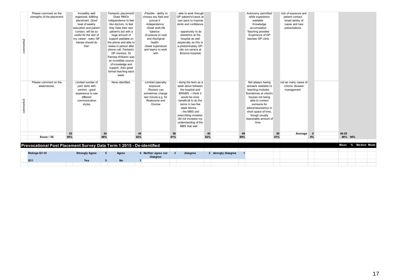|           | Prevocational Post Placement Survey Data Term 1 2015 - De-identified<br>Ratings Q1-10 |     | <b>Strongly Agree</b>                                                                                                                                                                                          | $5\phantom{.0}$ | Agree                                                                                                                                                                                                                                                                                                                                                                                                 |     | 4 Neither agree nor<br>disagree                                                                                                                                                                                  | $\mathbf{3}$ | disagree                                                                                                                                                                                                                                                                          |     | 2 strongly disagree |     |                                                                                                                                                                                                                                                |     |                                                                                               |    |                    |         |  |
|-----------|---------------------------------------------------------------------------------------|-----|----------------------------------------------------------------------------------------------------------------------------------------------------------------------------------------------------------------|-----------------|-------------------------------------------------------------------------------------------------------------------------------------------------------------------------------------------------------------------------------------------------------------------------------------------------------------------------------------------------------------------------------------------------------|-----|------------------------------------------------------------------------------------------------------------------------------------------------------------------------------------------------------------------|--------------|-----------------------------------------------------------------------------------------------------------------------------------------------------------------------------------------------------------------------------------------------------------------------------------|-----|---------------------|-----|------------------------------------------------------------------------------------------------------------------------------------------------------------------------------------------------------------------------------------------------|-----|-----------------------------------------------------------------------------------------------|----|--------------------|---------|--|
|           |                                                                                       |     |                                                                                                                                                                                                                |                 |                                                                                                                                                                                                                                                                                                                                                                                                       |     |                                                                                                                                                                                                                  |              |                                                                                                                                                                                                                                                                                   |     |                     |     |                                                                                                                                                                                                                                                |     |                                                                                               |    |                    |         |  |
|           |                                                                                       |     |                                                                                                                                                                                                                |                 |                                                                                                                                                                                                                                                                                                                                                                                                       |     |                                                                                                                                                                                                                  |              |                                                                                                                                                                                                                                                                                   |     |                     |     |                                                                                                                                                                                                                                                |     |                                                                                               |    | Mean % Median Mode |         |  |
|           | Score / 55                                                                            | 95% |                                                                                                                                                                                                                | 98%             |                                                                                                                                                                                                                                                                                                                                                                                                       | 82% |                                                                                                                                                                                                                  | 91%          |                                                                                                                                                                                                                                                                                   | 82% |                     | 89% |                                                                                                                                                                                                                                                | 91% |                                                                                               | 0% |                    | 90% 90% |  |
|           |                                                                                       | 52  |                                                                                                                                                                                                                | 54              |                                                                                                                                                                                                                                                                                                                                                                                                       | 45  |                                                                                                                                                                                                                  | 50           |                                                                                                                                                                                                                                                                                   | 45  |                     | 49  |                                                                                                                                                                                                                                                | 50  | Average                                                                                       |    | 49.29              |         |  |
| comments3 | Please comment on the<br>weaknesses.                                                  |     | Limited number of<br>joint visits with<br>seniors - good<br>experience to see<br>different<br>communication<br>styles                                                                                          |                 | None identified.                                                                                                                                                                                                                                                                                                                                                                                      |     | -Limited specialty<br>exposure<br>-Rosters can<br>sometimes change<br>last minute e.g. for<br>Roebourne and<br>Onslow                                                                                            |              | - doing the term as a<br>week about between<br>the hospital and<br><b>BRAMS - I think it</b><br>would be more<br>beneficial to do the<br>terms in two five<br>week blocks<br>- the MBS and<br>prescribing modules<br>did not increase my<br>understanding of the<br>MBS that well |     |                     |     | Not always having<br>answers available to<br>teaching modules<br>Sometimes at client's<br>houses not being<br>able to contact<br>someone for<br>advice/assistance in<br>short space of time,<br>though usually<br>reasonable amount of<br>time |     | not as many cases of<br>chronic disease<br>management                                         |    |                    |         |  |
| comments2 | Please comment on the<br>strengths of the placement                                   |     | Incredibly well<br>organised, fulfilling<br>placement. Good<br>level of weekly<br>education and patient<br>contact, will be so<br>useful for the rest of<br>my career - every GP<br>trainee should do<br>this! |                 | Fantastic placement!<br>Gives RMOs<br>independence to feel<br>like doctors, to feel<br>they have their own<br>patient's but with a<br>huge amount of<br>support available on<br>the phone and able to<br>review in person after<br>phone call. Fantastic<br>GP mentors, Dr<br>Pamela Williams was<br>an incredible source<br>of knowledge and<br>support. Also great<br>formal teaching each<br>week. |     | -Flexible - ability to<br>choose any field and<br>pursue it<br>-Independence<br>-Great work-life<br>balance<br>-Exposure to rural<br>and Aboriginal<br>health<br>-Great supervisors<br>and teams to work<br>with |              | - able to work through<br>GP patient's/cases at<br>own pace to improve<br>skills and confidence<br>- opportunity to do<br>obstetrics at the<br>hospital as well<br>(especially as this is<br>a predominately GP-<br>obs run service at<br>Broome hospital)                        |     |                     |     | Autonomy permitted<br>while supervision<br>available<br>Knowledge<br>accumulation<br>Teaching provided<br>Experience of GP<br>besides GP clinic                                                                                                |     | lots of exposure and<br>patient contact<br>broad variety of<br>cases and new<br>presentations |    |                    |         |  |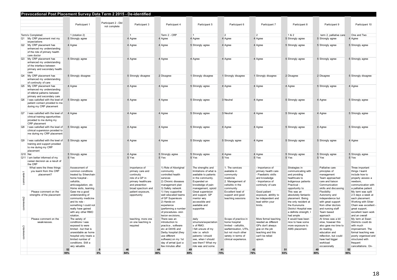|           | Prevocational Post Placement Survey Data Term 2 2015 - De-identified                                                 |                                                                                                                                                                                              |                                     |                                                                                                                                  |                                                                                                                                                                                         |                                                                                                                                                                            |                                                                                                                                                                |                                                                                                                                      |                                                                                                                                                                 |                                                                                                                                                                          |                                                                                                                                                                            |
|-----------|----------------------------------------------------------------------------------------------------------------------|----------------------------------------------------------------------------------------------------------------------------------------------------------------------------------------------|-------------------------------------|----------------------------------------------------------------------------------------------------------------------------------|-----------------------------------------------------------------------------------------------------------------------------------------------------------------------------------------|----------------------------------------------------------------------------------------------------------------------------------------------------------------------------|----------------------------------------------------------------------------------------------------------------------------------------------------------------|--------------------------------------------------------------------------------------------------------------------------------------|-----------------------------------------------------------------------------------------------------------------------------------------------------------------|--------------------------------------------------------------------------------------------------------------------------------------------------------------------------|----------------------------------------------------------------------------------------------------------------------------------------------------------------------------|
|           |                                                                                                                      |                                                                                                                                                                                              |                                     |                                                                                                                                  |                                                                                                                                                                                         |                                                                                                                                                                            |                                                                                                                                                                |                                                                                                                                      |                                                                                                                                                                 |                                                                                                                                                                          |                                                                                                                                                                            |
|           |                                                                                                                      | Participant 1                                                                                                                                                                                | Participant 2 - Did<br>not complete | Participant 3                                                                                                                    | Participant 4                                                                                                                                                                           | Participant 5                                                                                                                                                              | Participant 6                                                                                                                                                  | Participant 7                                                                                                                        | Participant 8                                                                                                                                                   | Participant 9                                                                                                                                                            | Participant 10                                                                                                                                                             |
|           | Term/s Completed:                                                                                                    | 1 (rotation 2)                                                                                                                                                                               |                                     |                                                                                                                                  | Term 2 - CRP                                                                                                                                                                            |                                                                                                                                                                            | $\overline{2}$                                                                                                                                                 | $\mathfrak{p}$                                                                                                                       | 1&2                                                                                                                                                             | term 2, palliative care                                                                                                                                                  | One and Two                                                                                                                                                                |
|           | Q1 My CRP placement met my<br>expectations                                                                           | 5 Strongly agree                                                                                                                                                                             |                                     | 4 Agree                                                                                                                          | 4 Agree                                                                                                                                                                                 | 4 Agree                                                                                                                                                                    | 4 Agree                                                                                                                                                        | 4 Agree                                                                                                                              | 5 Strongly agree                                                                                                                                                | 5 Strongly agree                                                                                                                                                         | 4 Agree                                                                                                                                                                    |
|           | Q2 My CRP placement has<br>enhanced my understanding<br>of the role of primary health<br>care doctor                 | 4 Agree                                                                                                                                                                                      |                                     | 4 Agree                                                                                                                          | 4 Agree                                                                                                                                                                                 | 5 Strongly agree                                                                                                                                                           | 4 Agree                                                                                                                                                        | 4 Agree                                                                                                                              | 5 Strongly agree                                                                                                                                                | 5 Strongly agree                                                                                                                                                         | 5 Strongly agree                                                                                                                                                           |
|           | Q3 My CRP placement has<br>enhanced my understanding<br>of the interface between<br>primary and secondary health     | 5 Strongly agree                                                                                                                                                                             |                                     | 4 Agree                                                                                                                          | 4 Agree                                                                                                                                                                                 | 4 Agree                                                                                                                                                                    | 4 Agree                                                                                                                                                        | 4 Agree                                                                                                                              | 5 Strongly agree                                                                                                                                                | 5 Strongly agree                                                                                                                                                         | 5 Strongly agree                                                                                                                                                           |
|           | Q4 My CRP placement has<br>enhanced my understanding<br>of continuity of care                                        | 5 Strongly disagree                                                                                                                                                                          |                                     | 5 Strongly disagree                                                                                                              | 2 Disagree                                                                                                                                                                              | 1 Strongly disagree                                                                                                                                                        | 1 Strongly disagree                                                                                                                                            | 1 Strongly disagree                                                                                                                  | 2 Disagree                                                                                                                                                      | 2 Disagree                                                                                                                                                               | 5 Strongly disagree                                                                                                                                                        |
|           | Q5 My CRP placement has<br>enhanced my understanding<br>of referral patterns between<br>primary and secondary care   | 4 Agree                                                                                                                                                                                      |                                     | 4 Agree                                                                                                                          | 4 Agree                                                                                                                                                                                 | 5 Strongly agree                                                                                                                                                           | 4 Agree                                                                                                                                                        | 4 Agree                                                                                                                              | 4 Agree                                                                                                                                                         | 5 Strongly agree                                                                                                                                                         | 4 Agree                                                                                                                                                                    |
| Q6        | I was satisfied with the level of<br>patient contact provided to me<br>during my CRP placement                       | 5 Strongly agree                                                                                                                                                                             |                                     | 4 Agree                                                                                                                          | 4 Agree                                                                                                                                                                                 | 5 Strongly agree                                                                                                                                                           | 3 Neutral                                                                                                                                                      | 4 Agree                                                                                                                              | 5 Strongly agree                                                                                                                                                | 4 Agree                                                                                                                                                                  | 5 Strongly agree                                                                                                                                                           |
|           | Q7 I was satisfied with the level of<br>clinical training opportunities<br>provided to me during my<br>CRP placement | 4 Agree                                                                                                                                                                                      |                                     | 4 Agree                                                                                                                          | 4 Agree                                                                                                                                                                                 | 5 Strongly agree                                                                                                                                                           | 3 Neutral                                                                                                                                                      | 4 Agree                                                                                                                              | 5 Strongly agree                                                                                                                                                | 4 Agree                                                                                                                                                                  | 5 Strongly agree                                                                                                                                                           |
| Q8        | I was satisfied with the level of<br>clinical supervision provided to<br>me during my CRP placement                  | 5 Strongly agree                                                                                                                                                                             |                                     | 4 Agree                                                                                                                          | 4 Agree                                                                                                                                                                                 | 5 Strongly agree                                                                                                                                                           | 4 Agree                                                                                                                                                        | 4 Agree                                                                                                                              | 5 Strongly agree                                                                                                                                                | 4 Agree                                                                                                                                                                  | 5 Strongly agree                                                                                                                                                           |
| Q9        | I was satisfied with the level of<br>training and support provided<br>to me during my CRP<br>placement               | 5 Strongly agree                                                                                                                                                                             |                                     | 4 Agree                                                                                                                          | 4 Agree                                                                                                                                                                                 | 5 Strongly agree                                                                                                                                                           | 5 Strongly agree                                                                                                                                               | 4 Agree                                                                                                                              | 5 Strongly agree                                                                                                                                                | 5 Strongly agree                                                                                                                                                         | 4 Agree                                                                                                                                                                    |
| Q10 Nei   |                                                                                                                      | 5 Strongly agree                                                                                                                                                                             |                                     | 4 Agree                                                                                                                          | 5 Strongly agree                                                                                                                                                                        | 5 Strongly agree                                                                                                                                                           | 4 Agree                                                                                                                                                        | 4 Agree                                                                                                                              | 5 Strongly agree                                                                                                                                                | 5 Strongly agree                                                                                                                                                         | 5 Strongly agree                                                                                                                                                           |
|           | Q11 I am better informed of my<br>career decision as a result of<br>the CRP                                          | 5 Yes                                                                                                                                                                                        |                                     | 5 Yes                                                                                                                            | 5 Yes                                                                                                                                                                                   | 5 Yes                                                                                                                                                                      | 5 Yes                                                                                                                                                          | 5 Yes                                                                                                                                | 5 Yes                                                                                                                                                           | 5 Yes                                                                                                                                                                    | 5 Yes                                                                                                                                                                      |
| comments1 | What were the three things<br>you learnt from this CRP<br>placement?                                                 | Assessment of<br>common conditions<br>treated by Silverchain<br>home hospital -<br>cellulitis.<br>anticoagulation, etc<br>Home visits, learning                                              |                                     | importance of<br>primary care and<br>continuity<br>role of a GP in<br>primary healthcare<br>and prevention<br>broad spectrum and | 1) Role of Aboriginal<br>community<br>controlled health<br>services<br>2) Chronic diseases<br>management plan<br>3) Safety network                                                      | The strengths and<br>limitations of what is<br>available to patients<br>in the community.<br>Expanded on<br>knowledge of pain<br>management, opioid                        | 1. The services<br>available in<br>community<br>medicine<br>2. Management of<br>cellulitis in the<br>community                                                 | - Importance of<br>primary health care<br>- Paediatric skills<br>and knowledge<br>- Importance of<br>continuity of care              | Strategies in<br>communicating with<br>and providing<br>healthcare to<br>Indigenous patients<br>Practical -<br>opportunity to                                   | Palliative care<br>principles of<br>management<br>Team approached<br>care and liaison<br>Communication<br>skills and discussing                                          | Three important<br>things I learnt<br>include how to<br>properly assess a<br>newborn.<br>communication with<br>a palliative patient                                        |
| comments2 | Please comment on the<br>strengths of the placement                                                                  | Gave me a good<br>understanding of<br>community medicine<br>and its role -<br>something I could not<br>really have gained<br>with any other RMO<br>rotation.                                 |                                     | patient exposure,<br>opportunity                                                                                                 | 1) Very supportive<br>well educated teams<br>of GP Supervisors<br>2) Hands-on<br>experience<br>(performing a number<br>of procedures-skin<br>lesion excisions,                          | Great supervision<br>and support, GP<br>mentor very<br>accessible and<br>available and<br>supportive                                                                       | Excellent level of<br>support and good<br>teaching sessions                                                                                                    | Good patient<br>exposure, abtility to<br>be independent and<br>lead within your<br>limits.                                           | This was an<br>absolutely fantastic<br>placement. Being<br>the only resident at<br>the Kununuma<br>District Hospital was<br>a definite strength; I<br>had ample | Flexibility<br>Autonomy and<br>independence but<br>with great support<br>from other doctors<br>and nursing staff<br>Team based<br>approach                               | My term was split<br>2.5 days a week at<br>each placement.<br>Working with Silver<br>Chain was excellent<br>great support,<br>excellent team work<br>and an overall        |
| comments3 | Please comment on the<br>weaknesses                                                                                  | The variety of<br>conditions I was<br>exposed to were<br>limited - but that is<br>unavoidable as home<br>hospital only treats a<br>limited number of<br>conditions. Still a<br>very valuable |                                     | teaching, more one<br>on one teaching is<br>required                                                                             | There was an<br>introduction to<br>practice, software<br>etc at DAHS and<br>Derby hospital (they<br>use different<br>software) on my 1st<br>day of arrival (just a<br>few minutes after | daily<br>structure/expectation<br>s of RMO.<br>I felt unsure of my<br>role i.e. which<br>patients I should<br>see, when I should<br>see them? What my<br>role was and some | Scope of practice in<br>home hospital<br>limited - cellulitis,<br>warfarinisation. UTI's.<br>but not much other<br>variety in terms of<br>clinical experience. | More formal teaching<br>needed as different<br>GPs don't always<br>give on the job<br>teaching and this<br>can't be relied<br>upson. | It would have been<br>nice to have some<br>more exposure to<br>AMS placement.                                                                                   | At times was a bit<br>slow, however this<br>also gave me time to<br>do reading,<br>education and<br>reflection, but could<br>have had bigger<br>workload<br>occasionally | My term at Swan<br>Districts could do<br>with much<br>improvement. The<br>formal teaching was<br>poorly organised and<br>structured with<br>frequent<br>cancellations. On- |
|           |                                                                                                                      | 52<br>95%                                                                                                                                                                                    | $\mathbf{0}$<br>0%                  | 46<br>84%                                                                                                                        | 44<br>80%                                                                                                                                                                               | 49<br>89%                                                                                                                                                                  | 41<br>75%                                                                                                                                                      | 42<br>76%                                                                                                                            | 51<br>93%                                                                                                                                                       | 49<br>89%                                                                                                                                                                | 52<br>95%                                                                                                                                                                  |
|           |                                                                                                                      |                                                                                                                                                                                              |                                     |                                                                                                                                  |                                                                                                                                                                                         |                                                                                                                                                                            |                                                                                                                                                                |                                                                                                                                      |                                                                                                                                                                 |                                                                                                                                                                          |                                                                                                                                                                            |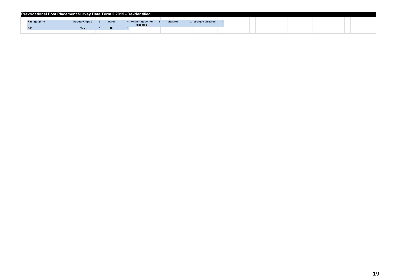| Prevocational Post Placement Survey Data Term 2 2015 - De-identified |                       |           |                                 |          |                   |  |  |  |  |  |
|----------------------------------------------------------------------|-----------------------|-----------|---------------------------------|----------|-------------------|--|--|--|--|--|
|                                                                      |                       |           |                                 |          |                   |  |  |  |  |  |
| Ratings Q1-10                                                        | <b>Strongly Agree</b> | Agree     | 1 Neither agree nor<br>disagree | disagree | strongly disagree |  |  |  |  |  |
| Q <sub>11</sub>                                                      | Yes                   | <b>No</b> |                                 |          |                   |  |  |  |  |  |
|                                                                      |                       |           |                                 |          |                   |  |  |  |  |  |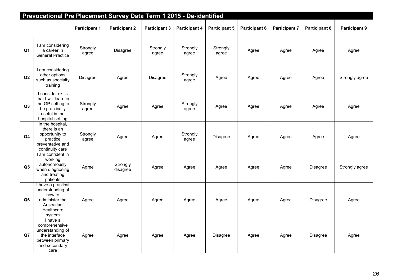|                | Prevocational Pre Placement Survey Data Term 1 2015 - De-identified                                                   |                      |                      |                      |                      |                      |                      |                      |                      |                      |
|----------------|-----------------------------------------------------------------------------------------------------------------------|----------------------|----------------------|----------------------|----------------------|----------------------|----------------------|----------------------|----------------------|----------------------|
|                |                                                                                                                       | <b>Participant 1</b> | <b>Participant 2</b> | <b>Participant 3</b> | <b>Participant 4</b> | <b>Participant 5</b> | <b>Participant 6</b> | <b>Participant 7</b> | <b>Participant 8</b> | <b>Participant 9</b> |
| Q <sub>1</sub> | I am considering<br>a career in<br><b>General Practice</b>                                                            | Strongly<br>agree    | Disagree             | Strongly<br>agree    | Strongly<br>agree    | Strongly<br>agree    | Agree                | Agree                | Agree                | Agree                |
| Q2             | I am considering<br>other options<br>such as specialty<br>training                                                    | Disagree             | Agree                | Disagree             | Strongly<br>agree    | Agree                | Agree                | Agree                | Agree                | Strongly agree       |
| Q3             | I consider skills<br>that I will learn in<br>the GP setting to<br>be practically<br>useful in the<br>hospital setting | Strongly<br>agree    | Agree                | Agree                | Strongly<br>agree    | Agree                | Agree                | Agree                | Agree                | Agree                |
| Q4             | In the hospital,<br>there is an<br>opportunity to<br>practice<br>preventative and<br>continuity care                  | Strongly<br>agree    | Agree                | Agree                | Strongly<br>agree    | Disagree             | Agree                | Agree                | Agree                | Agree                |
| Q <sub>5</sub> | I am confident in<br>working<br>autonomously<br>when diagnosing<br>and treating<br>patients                           | Agree                | Strongly<br>disagree | Agree                | Agree                | Agree                | Agree                | Agree                | Disagree             | Strongly agree       |
| Q <sub>6</sub> | I have a practical<br>understanding of<br>how to<br>administer the<br>Australian<br>Healthcare<br>system              | Agree                | Agree                | Agree                | Agree                | Agree                | Agree                | Agree                | Disagree             | Agree                |
| Q7             | I have a<br>comprehensive<br>understanding of<br>the interface<br>between primary<br>and secondary<br>care            | Agree                | Agree                | Agree                | Agree                | Disagree             | Agree                | Agree                | Disagree             | Agree                |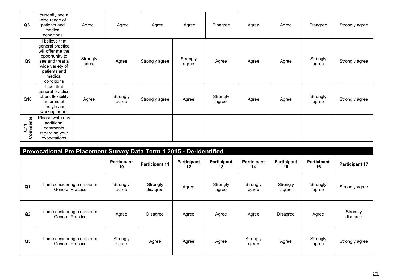| Q8                             | I currently see a<br>wide range of<br>patients and<br>medical<br>conditions                                                                              | Agree             | Agree             | Agree          | Agree             | Disagree          | Agree | Agree | Disagree          | Strongly agree |
|--------------------------------|----------------------------------------------------------------------------------------------------------------------------------------------------------|-------------------|-------------------|----------------|-------------------|-------------------|-------|-------|-------------------|----------------|
| Q9                             | I believe that<br>general practice<br>will offer me the<br>opportunity to<br>see and treat a<br>wide variety of<br>patients and<br>medical<br>conditions | Strongly<br>agree | Agree             | Strongly agree | Strongly<br>agree | Agree             | Agree | Agree | Strongly<br>agree | Strongly agree |
| Q10                            | I feel that<br>general practice<br>offers flexibility<br>in terms of<br>lifestyle and<br>working hours                                                   | Agree             | Strongly<br>agree | Strongly agree | Agree             | Strongly<br>agree | Agree | Agree | Strongly<br>agree | Strongly agree |
| omments<br>$\overline{a}$<br>Õ | Please write any<br>additional<br>comments<br>regarding your<br>expectations                                                                             |                   |                   |                |                   |                   |       |       |                   |                |

|                | Prevocational Pre Placement Survey Data Term 1 2015 - De-identified |                   |                       |                   |                          |                   |                   |                   |                       |  |  |  |
|----------------|---------------------------------------------------------------------|-------------------|-----------------------|-------------------|--------------------------|-------------------|-------------------|-------------------|-----------------------|--|--|--|
|                |                                                                     | Participant<br>10 | <b>Participant 11</b> | Participant<br>12 | <b>Participant</b><br>13 | Participant<br>14 | Participant<br>15 | Participant<br>16 | <b>Participant 17</b> |  |  |  |
| Q <sub>1</sub> | am considering a career in<br><b>General Practice</b>               | Strongly<br>agree | Strongly<br>disagree  | Agree             | Strongly<br>agree        | Strongly<br>agree | Strongly<br>agree | Strongly<br>agree | Strongly agree        |  |  |  |
| Q2             | I am considering a career in<br><b>General Practice</b>             | Agree             | <b>Disagree</b>       | Agree             | Agree                    | Agree             | Disagree          | Agree             | Strongly<br>disagree  |  |  |  |
| Q <sub>3</sub> | I am considering a career in<br><b>General Practice</b>             | Strongly<br>agree | Agree                 | Agree             | Agree                    | Strongly<br>agree | Agree             | Strongly<br>agree | Strongly agree        |  |  |  |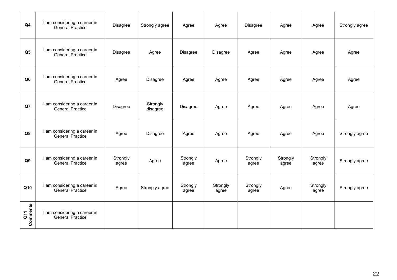| Q <sub>4</sub>                    | I am considering a career in<br><b>General Practice</b> | Disagree          | Strongly agree       | Agree             | Agree             | Disagree          | Agree             | Agree             | Strongly agree |
|-----------------------------------|---------------------------------------------------------|-------------------|----------------------|-------------------|-------------------|-------------------|-------------------|-------------------|----------------|
| Q <sub>5</sub>                    | I am considering a career in<br><b>General Practice</b> | Disagree          | Agree                | Disagree          | Disagree          | Agree             | Agree             | Agree             | Agree          |
| Q <sub>6</sub>                    | I am considering a career in<br><b>General Practice</b> | Agree             | Disagree             | Agree             | Agree             | Agree             | Agree             | Agree             | Agree          |
| Q7                                | I am considering a career in<br><b>General Practice</b> | Disagree          | Strongly<br>disagree | Disagree          | Agree             | Agree             | Agree             | Agree             | Agree          |
| Q8                                | I am considering a career in<br><b>General Practice</b> | Agree             | Disagree             | Agree             | Agree             | Agree             | Agree             | Agree             | Strongly agree |
| Q <sub>9</sub>                    | I am considering a career in<br><b>General Practice</b> | Strongly<br>agree | Agree                | Strongly<br>agree | Agree             | Strongly<br>agree | Strongly<br>agree | Strongly<br>agree | Strongly agree |
| Q10                               | I am considering a career in<br><b>General Practice</b> | Agree             | Strongly agree       | Strongly<br>agree | Strongly<br>agree | Strongly<br>agree | Agree             | Strongly<br>agree | Strongly agree |
| <b>Comments</b><br>$\overline{G}$ | I am considering a career in<br><b>General Practice</b> |                   |                      |                   |                   |                   |                   |                   |                |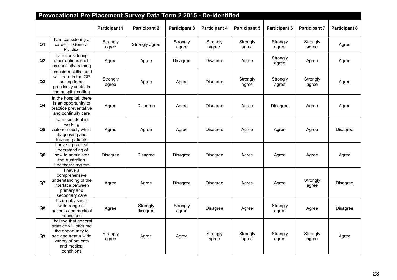|                | Prevocational Pre Placement Survey Data Term 2 2015 - De-identified                                                                                |                      |                      |                      |                      |                      |                      |                      |                      |
|----------------|----------------------------------------------------------------------------------------------------------------------------------------------------|----------------------|----------------------|----------------------|----------------------|----------------------|----------------------|----------------------|----------------------|
|                |                                                                                                                                                    | <b>Participant 1</b> | <b>Participant 2</b> | <b>Participant 3</b> | <b>Participant 4</b> | <b>Participant 5</b> | <b>Participant 6</b> | <b>Participant 7</b> | <b>Participant 8</b> |
| Q1             | I am considering a<br>career in General<br>Practice                                                                                                | Strongly<br>agree    | Strongly agree       | Strongly<br>agree    | Strongly<br>agree    | Strongly<br>agree    | Strongly<br>agree    | Strongly<br>agree    | Agree                |
| Q2             | I am considering<br>other options such<br>as specialty training                                                                                    | Agree                | Agree                | Disagree             | <b>Disagree</b>      | Agree                | Strongly<br>agree    | Agree                | Agree                |
| Q3             | I consider skills that I<br>will learn in the GP<br>setting to be<br>practically useful in<br>the hospital setting                                 | Strongly<br>agree    | Agree                | Agree                | Disagree             | Strongly<br>agree    | Strongly<br>agree    | Strongly<br>agree    | Agree                |
| Q <sub>4</sub> | In the hospital, there<br>is an opportunity to<br>practice preventative<br>and continuity care                                                     | Agree                | Disagree             | Agree                | <b>Disagree</b>      | Agree                | <b>Disagree</b>      | Agree                | Agree                |
| Q <sub>5</sub> | I am confident in<br>working<br>autonomously when<br>diagnosing and<br>treating patients                                                           | Agree                | Agree                | Agree                | <b>Disagree</b>      | Agree                | Agree                | Agree                | <b>Disagree</b>      |
| Q <sub>6</sub> | I have a practical<br>understanding of<br>how to administer<br>the Australian<br>Healthcare system                                                 | Disagree             | <b>Disagree</b>      | Disagree             | <b>Disagree</b>      | Agree                | Agree                | Agree                | Agree                |
| Q7             | I have a<br>comprehensive<br>understanding of the<br>interface between<br>primary and<br>secondary care                                            | Agree                | Agree                | Disagree             | Disagree             | Agree                | Agree                | Strongly<br>agree    | <b>Disagree</b>      |
| Q8             | I currently see a<br>wide range of<br>patients and medical<br>conditions                                                                           | Agree                | Strongly<br>disagree | Strongly<br>agree    | <b>Disagree</b>      | Agree                | Strongly<br>agree    | Agree                | <b>Disagree</b>      |
| Q9             | I believe that general<br>practice will offer me<br>the opportunity to<br>see and treat a wide<br>variety of patients<br>and medical<br>conditions | Strongly<br>agree    | Agree                | Agree                | Strongly<br>agree    | Strongly<br>agree    | Strongly<br>agree    | Strongly<br>agree    | Agree                |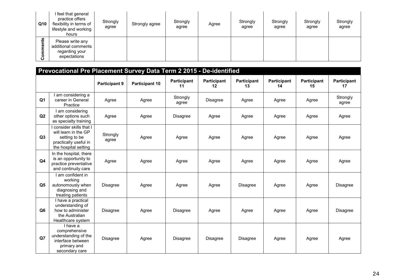| Q10            | I feel that general<br>practice offers<br>flexibility in terms of<br>lifestyle and working<br>hours | Strongly<br>agree | Strongly agree | Strongly<br>agree | Agree | Strongly<br>agree | Strongly<br>agree | Strongly<br>agree | Strongly<br>agree |
|----------------|-----------------------------------------------------------------------------------------------------|-------------------|----------------|-------------------|-------|-------------------|-------------------|-------------------|-------------------|
| <u>ئا</u><br>o | Please write any<br>additional comments<br>regarding your<br>expectations                           |                   |                |                   |       |                   |                   |                   |                   |

|                | Prevocational Pre Placement Survey Data Term 2 2015 - De-identified                                              |                      |                       |                   |                   |                   |                          |                   |                          |
|----------------|------------------------------------------------------------------------------------------------------------------|----------------------|-----------------------|-------------------|-------------------|-------------------|--------------------------|-------------------|--------------------------|
|                |                                                                                                                  | <b>Participant 9</b> | <b>Participant 10</b> | Participant<br>11 | Participant<br>12 | Participant<br>13 | <b>Participant</b><br>14 | Participant<br>15 | <b>Participant</b><br>17 |
| Q <sub>1</sub> | I am considering a<br>career in General<br>Practice                                                              | Agree                | Agree                 | Strongly<br>agree | Disagree          | Agree             | Agree                    | Agree             | Strongly<br>agree        |
| Q2             | I am considering<br>other options such<br>as specialty training                                                  | Agree                | Agree                 | Disagree          | Agree             | Agree             | Agree                    | Agree             | Agree                    |
| Q3             | consider skills that I<br>will learn in the GP<br>setting to be<br>practically useful in<br>the hospital setting | Strongly<br>agree    | Agree                 | Agree             | Agree             | Agree             | Agree                    | Agree             | Agree                    |
| Q <sub>4</sub> | In the hospital, there<br>is an opportunity to<br>practice preventative<br>and continuity care                   | Agree                | Agree                 | Agree             | Agree             | Agree             | Agree                    | Agree             | Agree                    |
| Q <sub>5</sub> | I am confident in<br>working<br>autonomously when<br>diagnosing and<br>treating patients                         | <b>Disagree</b>      | Agree                 | Agree             | Agree             | <b>Disagree</b>   | Agree                    | Agree             | <b>Disagree</b>          |
| Q <sub>6</sub> | I have a practical<br>understanding of<br>how to administer<br>the Australian<br>Healthcare system               | Disagree             | Agree                 | <b>Disagree</b>   | Agree             | Agree             | Agree                    | Agree             | Disagree                 |
| Q7             | I have a<br>comprehensive<br>understanding of the<br>interface between<br>primary and<br>secondary care          | Disagree             | Agree                 | Disagree          | <b>Disagree</b>   | <b>Disagree</b>   | Agree                    | Agree             | Agree                    |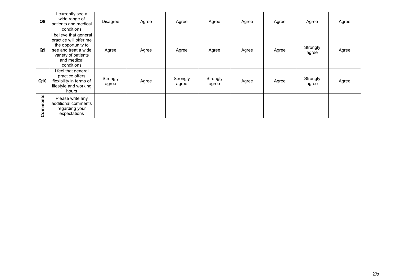| Q8               | I currently see a<br>wide range of<br>patients and medical<br>conditions                                                                           | Disagree          | Agree | Agree             | Agree             | Agree | Agree | Agree             | Agree |
|------------------|----------------------------------------------------------------------------------------------------------------------------------------------------|-------------------|-------|-------------------|-------------------|-------|-------|-------------------|-------|
| Q9               | I believe that general<br>practice will offer me<br>the opportunity to<br>see and treat a wide<br>variety of patients<br>and medical<br>conditions | Agree             | Agree | Agree             | Agree             | Agree | Agree | Strongly<br>agree | Agree |
| Q10              | I feel that general<br>practice offers<br>flexibility in terms of<br>lifestyle and working<br>hours                                                | Strongly<br>agree | Agree | Strongly<br>agree | Strongly<br>agree | Agree | Agree | Strongly<br>agree | Agree |
| nts<br>omme<br>Õ | Please write any<br>additional comments<br>regarding your<br>expectations                                                                          |                   |       |                   |                   |       |       |                   |       |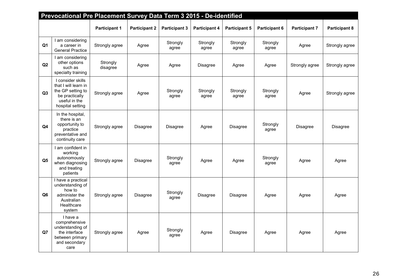|                | Prevocational Pre Placement Survey Data Term 3 2015 - De-identified                                                   |                      |                      |                      |                      |                      |                      |                      |                      |
|----------------|-----------------------------------------------------------------------------------------------------------------------|----------------------|----------------------|----------------------|----------------------|----------------------|----------------------|----------------------|----------------------|
|                |                                                                                                                       | <b>Participant 1</b> | <b>Participant 2</b> | <b>Participant 3</b> | <b>Participant 4</b> | <b>Participant 5</b> | <b>Participant 6</b> | <b>Participant 7</b> | <b>Participant 8</b> |
| Q1             | I am considering<br>a career in<br><b>General Practice</b>                                                            | Strongly agree       | Agree                | Strongly<br>agree    | Strongly<br>agree    | Strongly<br>agree    | Strongly<br>agree    | Agree                | Strongly agree       |
| Q2             | I am considering<br>other options<br>such as<br>specialty training                                                    | Strongly<br>disagree | Agree                | Agree                | Disagree             | Agree                | Agree                |                      | Strongly agree       |
| Q3             | I consider skills<br>that I will learn in<br>the GP setting to<br>be practically<br>useful in the<br>hospital setting | Strongly agree       | Agree                | Strongly<br>agree    | Strongly<br>agree    | Strongly<br>agree    | Strongly<br>agree    | Agree                | Strongly agree       |
| Q4             | In the hospital,<br>there is an<br>opportunity to<br>practice<br>preventative and<br>continuity care                  | Strongly agree       | Disagree             | Disagree             | Agree                | <b>Disagree</b>      | Strongly<br>agree    | <b>Disagree</b>      | Disagree             |
| Q <sub>5</sub> | I am confident in<br>working<br>autonomously<br>when diagnosing<br>and treating<br>patients                           | Strongly agree       | <b>Disagree</b>      | Strongly<br>agree    | Agree                | Agree                | Strongly<br>agree    | Agree                | Agree                |
| Q <sub>6</sub> | I have a practical<br>understanding of<br>how to<br>administer the<br>Australian<br>Healthcare<br>system              | Strongly agree       | <b>Disagree</b>      | Strongly<br>agree    | <b>Disagree</b>      | <b>Disagree</b>      | Agree                | Agree                | Agree                |
| Q7             | I have a<br>comprehensive<br>understanding of<br>the interface<br>between primary<br>and secondary<br>care            | Strongly agree       | Agree                | Strongly<br>agree    | Agree                | <b>Disagree</b>      | Agree                | Agree                | Agree                |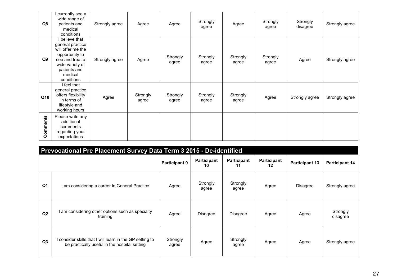| Q8             | currently see a<br>wide range of<br>patients and<br>medical<br>conditions                                                                                | Strongly agree | Agree             | Agree             | Strongly<br>agree | Agree             | Strongly<br>agree | Strongly<br>disagree | Strongly agree |
|----------------|----------------------------------------------------------------------------------------------------------------------------------------------------------|----------------|-------------------|-------------------|-------------------|-------------------|-------------------|----------------------|----------------|
| Q <sub>9</sub> | I believe that<br>general practice<br>will offer me the<br>opportunity to<br>see and treat a<br>wide variety of<br>patients and<br>medical<br>conditions | Strongly agree | Agree             | Strongly<br>agree | Strongly<br>agree | Strongly<br>agree | Strongly<br>agree | Agree                | Strongly agree |
| Q10            | I feel that<br>general practice<br>offers flexibility<br>in terms of<br>lifestyle and<br>working hours                                                   | Agree          | Strongly<br>agree | Strongly<br>agree | Strongly<br>agree | Strongly<br>agree | Agree             | Strongly agree       | Strongly agree |
| Comments       | Please write any<br>additional<br>comments<br>regarding your<br>expectations                                                                             |                |                   |                   |                   |                   |                   |                      |                |

|                | Prevocational Pre Placement Survey Data Term 3 2015 - De-identified                                       |                      |                   |                          |                   |                       |                       |  |  |  |  |
|----------------|-----------------------------------------------------------------------------------------------------------|----------------------|-------------------|--------------------------|-------------------|-----------------------|-----------------------|--|--|--|--|
|                |                                                                                                           | <b>Participant 9</b> | Participant<br>10 | <b>Participant</b><br>11 | Participant<br>12 | <b>Participant 13</b> | <b>Participant 14</b> |  |  |  |  |
| Q <sub>1</sub> | I am considering a career in General Practice                                                             | Agree                | Strongly<br>agree | Strongly<br>agree        | Agree             | Disagree              | Strongly agree        |  |  |  |  |
| Q2             | I am considering other options such as specialty<br>training                                              | Agree                | Disagree          | <b>Disagree</b>          | Agree             | Agree                 | Strongly<br>disagree  |  |  |  |  |
| Q3             | I consider skills that I will learn in the GP setting to<br>be practically useful in the hospital setting | Strongly<br>agree    | Agree             | Strongly<br>agree        | Agree             | Agree                 | Strongly agree        |  |  |  |  |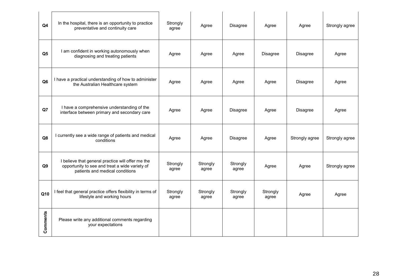| Q <sub>4</sub> | In the hospital, there is an opportunity to practice<br>preventative and continuity care                                               | Strongly<br>agree | Agree             | Disagree          | Agree             | Agree           | Strongly agree |
|----------------|----------------------------------------------------------------------------------------------------------------------------------------|-------------------|-------------------|-------------------|-------------------|-----------------|----------------|
| Q <sub>5</sub> | I am confident in working autonomously when<br>diagnosing and treating patients                                                        | Agree             | Agree             | Agree             | <b>Disagree</b>   | <b>Disagree</b> | Agree          |
| Q <sub>6</sub> | I have a practical understanding of how to administer<br>the Australian Healthcare system                                              | Agree             | Agree             | Agree             | Agree             | Disagree        | Agree          |
| Q7             | I have a comprehensive understanding of the<br>interface between primary and secondary care                                            | Agree             | Agree             | Disagree          | Agree             | Disagree        | Agree          |
| Q8             | I currently see a wide range of patients and medical<br>conditions                                                                     | Agree             | Agree             | <b>Disagree</b>   | Agree             | Strongly agree  | Strongly agree |
| Q9             | I believe that general practice will offer me the<br>opportunity to see and treat a wide variety of<br>patients and medical conditions | Strongly<br>agree | Strongly<br>agree | Strongly<br>agree | Agree             | Agree           | Strongly agree |
| Q10            | I feel that general practice offers flexibility in terms of<br>lifestyle and working hours                                             | Strongly<br>agree | Strongly<br>agree | Strongly<br>agree | Strongly<br>agree | Agree           | Agree          |
| Comments       | Please write any additional comments regarding<br>your expectations                                                                    |                   |                   |                   |                   |                 |                |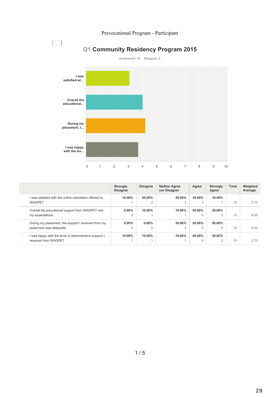



Answered: 10 Skipped: 0

|                                                                                | Strongly<br><b>Disagree</b> | <b>Disagree</b>          | <b>Neither Agree</b><br>nor Disagree | Agree       | Strongly<br>Agree | <b>Total</b> | Weighted<br>Average |
|--------------------------------------------------------------------------------|-----------------------------|--------------------------|--------------------------------------|-------------|-------------------|--------------|---------------------|
| I was satisfied with the online orientation offered by<br><b>WAGPET</b>        | $10.00\%$                   | 20.00%<br>$\overline{2}$ | $30.00\%$<br>3                       | 30.00%<br>3 | $10.00\%$         | 10           | 3.10                |
| Overall the educational support from WAGPET met<br>my expectations             | $0.00\%$<br>$\Omega$        | 10.00%                   | 10.00%                               | 50.00%<br>5 | 30.00%<br>3       | 10           | 4.00                |
| During my placement, the support I received from my<br>supervisor was adequate | $0.00\%$<br>$\Omega$        | $0.00\%$<br>$\Omega$     | 30.00%<br>3                          | 20.00%<br>2 | 50.00%            | 10           | 4.20                |
| I was happy with the level of administrative support I<br>received from WAGPET | 10.00%                      | $10.00\%$                | 10.00%                               | 40.00%<br>4 | 30.00%            | 10           | 3.70                |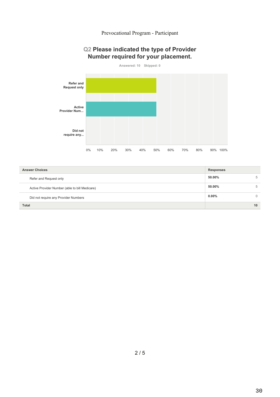# **Q2 Please indicated the type of Provider** Number required for your placement.



| <b>Answer Choices</b>                          | <b>Responses</b> |          |  |
|------------------------------------------------|------------------|----------|--|
| Refer and Request only                         | 50.00%           | 5        |  |
| Active Provider Number (able to bill Medicare) | 50.00%           | 5        |  |
| Did not require any Provider Numbers           | $0.00\%$         | $\Omega$ |  |
| <b>Total</b>                                   |                  | 10       |  |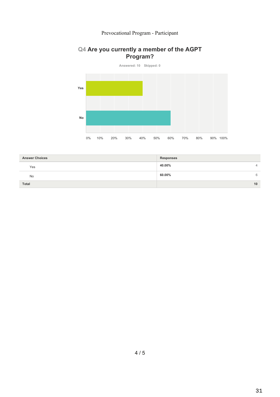# Q4 Are you currently a member of the AGPT Program?



| <b>Answer Choices</b> | <b>Responses</b> |
|-----------------------|------------------|
| Yes                   | 40.00%<br>↵      |
| No                    | 60.00%<br>6      |
| Total                 | 10               |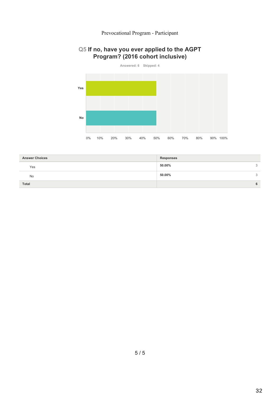#### Answered: 6 Skipped: 4 Yes  $No$  $0\%$ 10% 20% 30% 40% 50% 60% 70% 80% 90% 100%

# Q5 If no, have you ever applied to the AGPT Program? (2016 cohort inclusive)

| <b>Answer Choices</b> | <b>Responses</b> |          |
|-----------------------|------------------|----------|
| Yes                   | 50.00%           | $\Omega$ |
| <b>No</b>             | 50.00%           | $\Omega$ |
| Total                 |                  |          |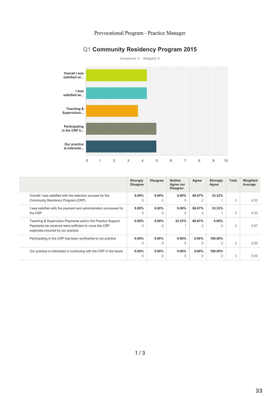# Prevocational Program - Practice Manager

# Q1 Community Residency Program 2015



|                                                                                            | <b>Strongly</b><br><b>Disagree</b> | <b>Disagree</b> | <b>Neither</b><br>Agree nor<br><b>Disagree</b> | Agree    | <b>Strongly</b><br>Agree | <b>Total</b> | Weighted<br>Average |
|--------------------------------------------------------------------------------------------|------------------------------------|-----------------|------------------------------------------------|----------|--------------------------|--------------|---------------------|
| Overall I was satisfied with the selection process for the                                 | $0.00\%$                           | $0.00\%$        | $0.00\%$                                       | 66.67%   | 33.33%                   |              |                     |
| Community Residency Program (CRP)                                                          | $\Omega$                           | 0               | $\Omega$                                       | 2        |                          | 3            | 4.33                |
| I was satisfied with the payment and administration processes for                          | $0.00\%$                           | $0.00\%$        | $0.00\%$                                       | 66.67%   | 33.33%                   |              |                     |
| the CRP                                                                                    | $\Omega$                           | O               | $\Omega$                                       | 2        |                          | 3            | 4.33                |
| Teaching & Supervision Payments and/or the Practice Support                                | $0.00\%$                           | $0.00\%$        | 33.33%                                         | 66.67%   | $0.00\%$                 |              |                     |
| Payments we received were sufficient to cover the CRP<br>expenses incurred by our practice | 0                                  | O               |                                                | 2        |                          | 3            | 3.67                |
| Participating in the CRP has been worthwhile to our practice                               | $0.00\%$                           | $0.00\%$        | $0.00\%$                                       | $0.00\%$ | 100.00%                  |              |                     |
|                                                                                            | $\Omega$                           |                 | $\Omega$                                       | $\cap$   |                          | 3            | 5.00                |
| Our practice is interested in continuing with the CRP in the future                        | $0.00\%$                           | $0.00\%$        | $0.00\%$                                       | $0.00\%$ | 100.00%                  |              |                     |
|                                                                                            |                                    |                 |                                                | $\Omega$ |                          | 3            | 5.00                |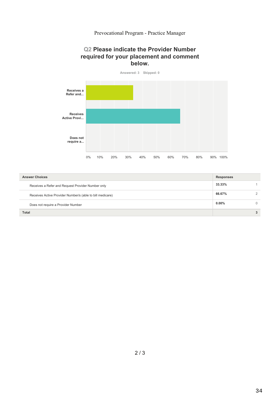# Prevocational Program - Practice Manager

# **Q2 Please indicate the Provider Number** required for your placement and comment below.



| <b>Answer Choices</b>                                     | <b>Responses</b> |  |
|-----------------------------------------------------------|------------------|--|
| Receives a Refer and Request Provider Number only         | 33.33%           |  |
| Receives Active Provider Number/s (able to bill medicare) | 66.67%           |  |
| Does not require a Provider Number                        | $0.00\%$         |  |
| Total                                                     |                  |  |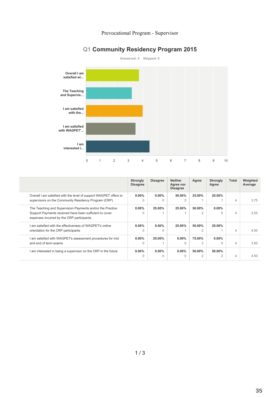# Prevocational Program - Supervisor

# **Q1 Community Residency Program 2015**



|                                                                                                      | <b>Strongly</b><br><b>Disagree</b> | <b>Disagree</b> | <b>Neither</b><br>Agree nor<br><b>Disagree</b> | Agree          | <b>Strongly</b><br>Agree | <b>Total</b>   | Weighted<br>Average |
|------------------------------------------------------------------------------------------------------|------------------------------------|-----------------|------------------------------------------------|----------------|--------------------------|----------------|---------------------|
| Overall I am satisfied with the level of support WAGPET offers to                                    | $0.00\%$                           | $0.00\%$        | 50.00%                                         | 25.00%         | 25.00%                   |                |                     |
| supervisors on the Community Residency Program (CRP)                                                 | $\Omega$                           | $\Omega$        |                                                |                |                          | 4              | 3.75                |
| The Teaching and Supervision Payments and/or the Practice                                            | $0.00\%$                           | 25.00%          | 25.00%                                         | 50.00%         | $0.00\%$                 |                |                     |
| Support Payments received have been sufficient to cover<br>expenses incurred by the CRP participants | $\Omega$                           |                 |                                                | 2              |                          | $\overline{4}$ | 3.25                |
| I am satisfied with the effectiveness of WAGPET's onlinel                                            | $0.00\%$                           | $0.00\%$        | 25.00%                                         | 50.00%         | 25.00%                   |                |                     |
| orientation for the CRP participants                                                                 | $\Omega$                           | $\Omega$        |                                                | $\mathfrak{D}$ |                          | $\overline{4}$ | 4.00                |
| I am satisfied with WAGPET's assessment procedures for mid                                           | $0.00\%$                           | 25.00%          | $0.00\%$                                       | 75.00%         | $0.00\%$                 |                |                     |
| and end of term exams                                                                                | $\Omega$                           |                 | $\cap$                                         | 3              |                          | 4              | 3.50                |
| I am interested in being a supervisor on the CRP in the future                                       | $0.00\%$                           | $0.00\%$        | $0.00\%$                                       | 50.00%         | 50.00%                   |                |                     |
|                                                                                                      |                                    | $\Omega$        |                                                |                |                          |                | 4.50                |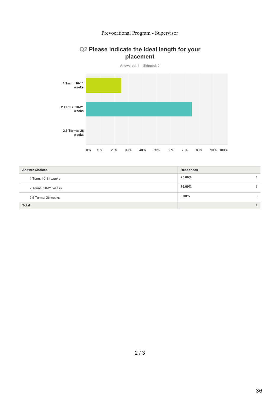# Prevocational Program - Supervisor

# Q2 Please indicate the ideal length for your placement



| <b>Answer Choices</b> | <b>Responses</b> |  |
|-----------------------|------------------|--|
| 1 Term: 10-11 weeks   | 25.00%           |  |
| 2 Terms: 20-21 weeks  | 75.00%<br>3      |  |
| 2.5 Terms: 26 weeks   | $0.00\%$         |  |
| <b>Total</b>          | 4                |  |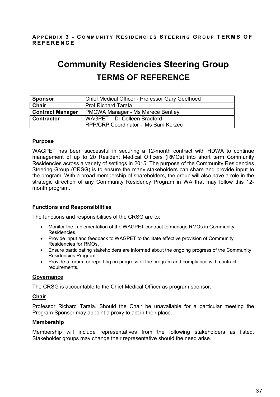# **A P P E N D I X 3 - C O M M U N I T Y R E S I D E N C I E S S T E E R I N G G R O U P T E R M S O F R E F E R E N C E**

# **Community Residencies Steering Group TERMS OF REFERENCE**

| <b>Sponsor</b>          | Chief Medical Officer - Professor Gary Geelhoed |
|-------------------------|-------------------------------------------------|
| Chair                   | <b>Prof Richard Tarala</b>                      |
| <b>Contract Manager</b> | <b>PMCWA Manager - Ms Marece Bentley</b>        |
| <b>Contractor</b>       | WAGPET - Dr Colleen Bradford,                   |
|                         | RPP/CRP Coordinator - Ms Sam Korzec             |

# **Purpose**

WAGPET has been successful in securing a 12-month contract with HDWA to continue management of up to 20 Resident Medical Officers (RMOs) into short term Community Residencies across a variety of settings in 2015. The purpose of the Community Residencies Steering Group (CRSG) is to ensure the many stakeholders can share and provide input to the program. With a broad membership of shareholders, the group will also have a role in the strategic direction of any Community Residency Program in WA that may follow this 12 month program.

## **Functions and Responsibilities**

The functions and responsibilities of the CRSG are to:

- Monitor the implementation of the WAGPET contract to manage RMOs in Community Residencies.
- Provide input and feedback to WAGPET to facilitate effective provision of Community Residencies for RMOs.
- Ensure participating stakeholders are informed about the ongoing progress of the Community Residencies Program.
- Provide a forum for reporting on progress of the program and compliance with contract requirements.

## **Governance**

The CRSG is accountable to the Chief Medical Officer as program sponsor.

## **Chair**

Professor Richard Tarala. Should the Chair be unavailable for a particular meeting the Program Sponsor may appoint a proxy to act in their place.

## **Membership**

Membership will include representatives from the following stakeholders as listed. Stakeholder groups may change their representative should the need arise.